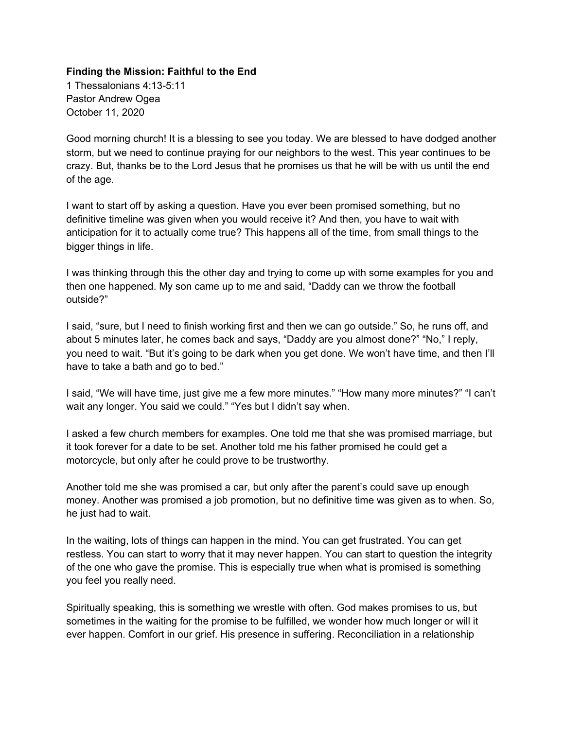#### **Finding the Mission: Faithful to the End**

1 Thessalonians 4:13-5:11 Pastor Andrew Ogea October 11, 2020

Good morning church! It is a blessing to see you today. We are blessed to have dodged another storm, but we need to continue praying for our neighbors to the west. This year continues to be crazy. But, thanks be to the Lord Jesus that he promises us that he will be with us until the end of the age.

I want to start off by asking a question. Have you ever been promised something, but no definitive timeline was given when you would receive it? And then, you have to wait with anticipation for it to actually come true? This happens all of the time, from small things to the bigger things in life.

I was thinking through this the other day and trying to come up with some examples for you and then one happened. My son came up to me and said, "Daddy can we throw the football outside?"

I said, "sure, but I need to finish working first and then we can go outside." So, he runs off, and about 5 minutes later, he comes back and says, "Daddy are you almost done?" "No," I reply, you need to wait. "But it's going to be dark when you get done. We won't have time, and then I'll have to take a bath and go to bed."

I said, "We will have time, just give me a few more minutes." "How many more minutes?" "I can't wait any longer. You said we could." "Yes but I didn't say when.

I asked a few church members for examples. One told me that she was promised marriage, but it took forever for a date to be set. Another told me his father promised he could get a motorcycle, but only after he could prove to be trustworthy.

Another told me she was promised a car, but only after the parent's could save up enough money. Another was promised a job promotion, but no definitive time was given as to when. So, he just had to wait.

In the waiting, lots of things can happen in the mind. You can get frustrated. You can get restless. You can start to worry that it may never happen. You can start to question the integrity of the one who gave the promise. This is especially true when what is promised is something you feel you really need.

Spiritually speaking, this is something we wrestle with often. God makes promises to us, but sometimes in the waiting for the promise to be fulfilled, we wonder how much longer or will it ever happen. Comfort in our grief. His presence in suffering. Reconciliation in a relationship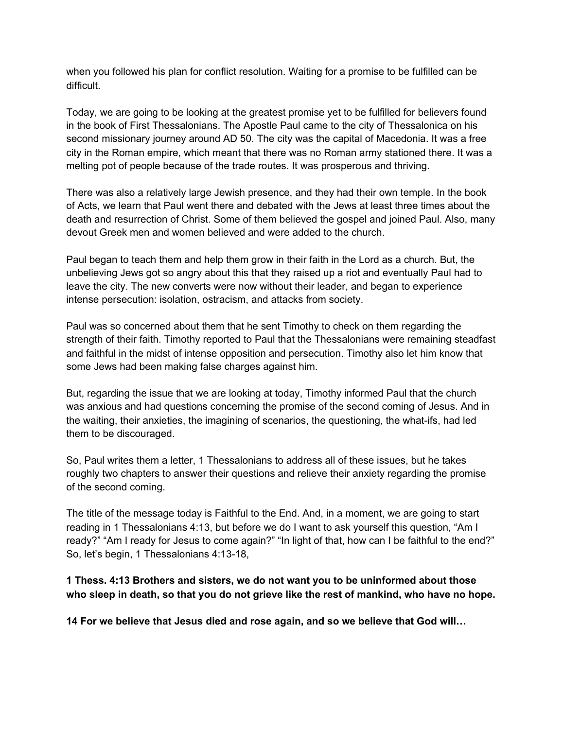when you followed his plan for conflict resolution. Waiting for a promise to be fulfilled can be difficult.

Today, we are going to be looking at the greatest promise yet to be fulfilled for believers found in the book of First Thessalonians. The Apostle Paul came to the city of Thessalonica on his second missionary journey around AD 50. The city was the capital of Macedonia. It was a free city in the Roman empire, which meant that there was no Roman army stationed there. It was a melting pot of people because of the trade routes. It was prosperous and thriving.

There was also a relatively large Jewish presence, and they had their own temple. In the book of Acts, we learn that Paul went there and debated with the Jews at least three times about the death and resurrection of Christ. Some of them believed the gospel and joined Paul. Also, many devout Greek men and women believed and were added to the church.

Paul began to teach them and help them grow in their faith in the Lord as a church. But, the unbelieving Jews got so angry about this that they raised up a riot and eventually Paul had to leave the city. The new converts were now without their leader, and began to experience intense persecution: isolation, ostracism, and attacks from society.

Paul was so concerned about them that he sent Timothy to check on them regarding the strength of their faith. Timothy reported to Paul that the Thessalonians were remaining steadfast and faithful in the midst of intense opposition and persecution. Timothy also let him know that some Jews had been making false charges against him.

But, regarding the issue that we are looking at today, Timothy informed Paul that the church was anxious and had questions concerning the promise of the second coming of Jesus. And in the waiting, their anxieties, the imagining of scenarios, the questioning, the what-ifs, had led them to be discouraged.

So, Paul writes them a letter, 1 Thessalonians to address all of these issues, but he takes roughly two chapters to answer their questions and relieve their anxiety regarding the promise of the second coming.

The title of the message today is Faithful to the End. And, in a moment, we are going to start reading in 1 Thessalonians 4:13, but before we do I want to ask yourself this question, "Am I ready?" "Am I ready for Jesus to come again?" "In light of that, how can I be faithful to the end?" So, let's begin, 1 Thessalonians 4:13-18,

### **1 Thess. 4:13 Brothers and sisters, we do not want you to be uninformed about those who sleep in death, so that you do not grieve like the rest of mankind, who have no hope.**

**14 For we believe that Jesus died and rose again, and so we believe that God will…**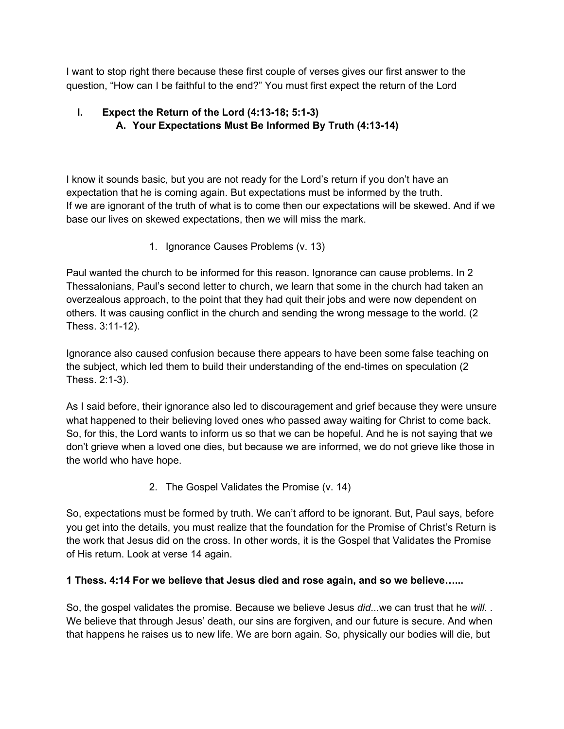I want to stop right there because these first couple of verses gives our first answer to the question, "How can I be faithful to the end?" You must first expect the return of the Lord

## **I. Expect the Return of the Lord (4:13-18; 5:1-3) A. Your Expectations Must Be Informed By Truth (4:13-14)**

I know it sounds basic, but you are not ready for the Lord's return if you don't have an expectation that he is coming again. But expectations must be informed by the truth. If we are ignorant of the truth of what is to come then our expectations will be skewed. And if we base our lives on skewed expectations, then we will miss the mark.

1. Ignorance Causes Problems (v. 13)

Paul wanted the church to be informed for this reason. Ignorance can cause problems. In 2 Thessalonians, Paul's second letter to church, we learn that some in the church had taken an overzealous approach, to the point that they had quit their jobs and were now dependent on others. It was causing conflict in the church and sending the wrong message to the world. (2 Thess. 3:11-12).

Ignorance also caused confusion because there appears to have been some false teaching on the subject, which led them to build their understanding of the end-times on speculation (2 Thess. 2:1-3).

As I said before, their ignorance also led to discouragement and grief because they were unsure what happened to their believing loved ones who passed away waiting for Christ to come back. So, for this, the Lord wants to inform us so that we can be hopeful. And he is not saying that we don't grieve when a loved one dies, but because we are informed, we do not grieve like those in the world who have hope.

2. The Gospel Validates the Promise (v. 14)

So, expectations must be formed by truth. We can't afford to be ignorant. But, Paul says, before you get into the details, you must realize that the foundation for the Promise of Christ's Return is the work that Jesus did on the cross. In other words, it is the Gospel that Validates the Promise of His return. Look at verse 14 again.

## **1 Thess. 4:14 For we believe that Jesus died and rose again, and so we believe…...**

So, the gospel validates the promise. Because we believe Jesus *did*...we can trust that he *will.* . We believe that through Jesus' death, our sins are forgiven, and our future is secure. And when that happens he raises us to new life. We are born again. So, physically our bodies will die, but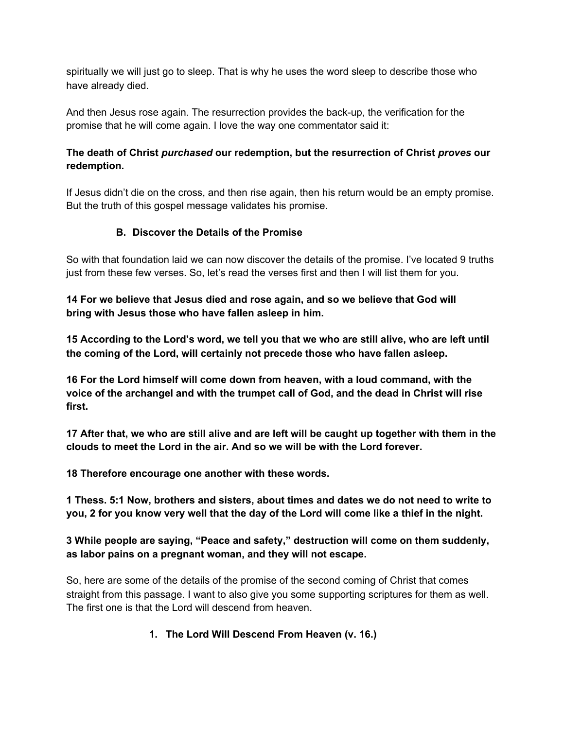spiritually we will just go to sleep. That is why he uses the word sleep to describe those who have already died.

And then Jesus rose again. The resurrection provides the back-up, the verification for the promise that he will come again. I love the way one commentator said it:

### **The death of Christ** *purchased* **our redemption, but the resurrection of Christ** *proves* **our redemption.**

If Jesus didn't die on the cross, and then rise again, then his return would be an empty promise. But the truth of this gospel message validates his promise.

## **B. Discover the Details of the Promise**

So with that foundation laid we can now discover the details of the promise. I've located 9 truths just from these few verses. So, let's read the verses first and then I will list them for you.

**14 For we believe that Jesus died and rose again, and so we believe that God will bring with Jesus those who have fallen asleep in him.**

15 According to the Lord's word, we tell you that we who are still alive, who are left until **the coming of the Lord, will certainly not precede those who have fallen asleep.**

**16 For the Lord himself will come down from heaven, with a loud command, with the voice of the archangel and with the trumpet call of God, and the dead in Christ will rise first.**

17 After that, we who are still alive and are left will be caught up together with them in the **clouds to meet the Lord in the air. And so we will be with the Lord forever.**

**18 Therefore encourage one another with these words.**

**1 Thess. 5:1 Now, brothers and sisters, about times and dates we do not need to write to** you, 2 for you know very well that the day of the Lord will come like a thief in the night.

**3 While people are saying, "Peace and safety," destruction will come on them suddenly, as labor pains on a pregnant woman, and they will not escape.**

So, here are some of the details of the promise of the second coming of Christ that comes straight from this passage. I want to also give you some supporting scriptures for them as well. The first one is that the Lord will descend from heaven.

## **1. The Lord Will Descend From Heaven (v. 16.)**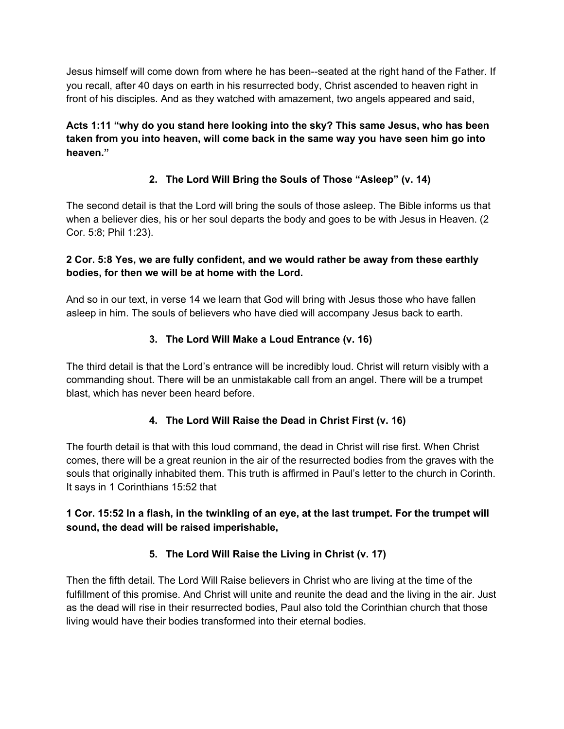Jesus himself will come down from where he has been--seated at the right hand of the Father. If you recall, after 40 days on earth in his resurrected body, Christ ascended to heaven right in front of his disciples. And as they watched with amazement, two angels appeared and said,

**Acts 1:11 "why do you stand here looking into the sky? This same Jesus, who has been taken from you into heaven, will come back in the same way you have seen him go into heaven."**

## **2. The Lord Will Bring the Souls of Those "Asleep" (v. 14)**

The second detail is that the Lord will bring the souls of those asleep. The Bible informs us that when a believer dies, his or her soul departs the body and goes to be with Jesus in Heaven. (2) Cor. 5:8; Phil 1:23).

### **2 Cor. 5:8 Yes, we are fully confident, and we would rather be away from these earthly bodies, for then we will be at home with the Lord.**

And so in our text, in verse 14 we learn that God will bring with Jesus those who have fallen asleep in him. The souls of believers who have died will accompany Jesus back to earth.

## **3. The Lord Will Make a Loud Entrance (v. 16)**

The third detail is that the Lord's entrance will be incredibly loud. Christ will return visibly with a commanding shout. There will be an unmistakable call from an angel. There will be a trumpet blast, which has never been heard before.

## **4. The Lord Will Raise the Dead in Christ First (v. 16)**

The fourth detail is that with this loud command, the dead in Christ will rise first. When Christ comes, there will be a great reunion in the air of the resurrected bodies from the graves with the souls that originally inhabited them. This truth is affirmed in Paul's letter to the church in Corinth. It says in 1 Corinthians 15:52 that

### 1 Cor. 15:52 In a flash, in the twinkling of an eye, at the last trumpet. For the trumpet will **sound, the dead will be raised imperishable,**

## **5. The Lord Will Raise the Living in Christ (v. 17)**

Then the fifth detail. The Lord Will Raise believers in Christ who are living at the time of the fulfillment of this promise. And Christ will unite and reunite the dead and the living in the air. Just as the dead will rise in their resurrected bodies, Paul also told the Corinthian church that those living would have their bodies transformed into their eternal bodies.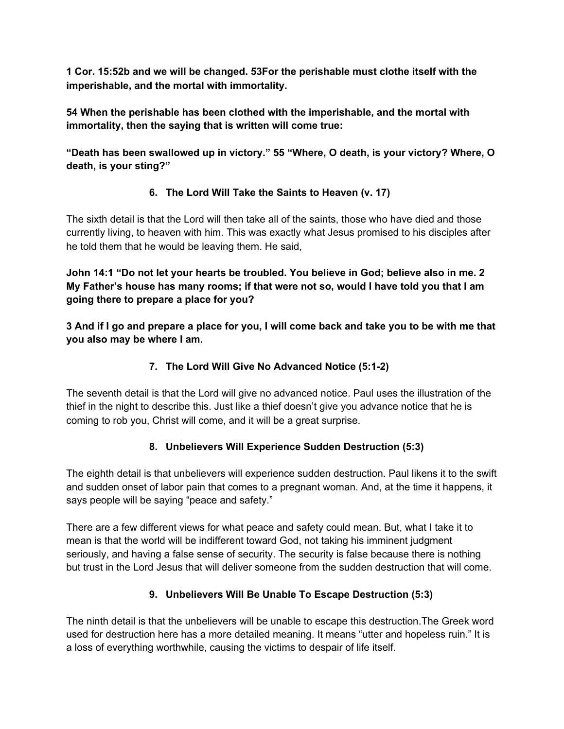**1 Cor. 15:52b and we will be changed. 53For the perishable must clothe itself with the imperishable, and the mortal with immortality.**

**54 When the perishable has been clothed with the imperishable, and the mortal with immortality, then the saying that is written will come true:**

**"Death has been swallowed up in victory." 55 "Where, O death, is your victory? Where, O death, is your sting?"**

# **6. The Lord Will Take the Saints to Heaven (v. 17)**

The sixth detail is that the Lord will then take all of the saints, those who have died and those currently living, to heaven with him. This was exactly what Jesus promised to his disciples after he told them that he would be leaving them. He said,

**John 14:1 "Do not let your hearts be troubled. You believe in God; believe also in me. 2 My Father's house has many rooms; if that were not so, would I have told you that I am going there to prepare a place for you?**

3 And if I go and prepare a place for you, I will come back and take you to be with me that **you also may be where I am.**

# **7. The Lord Will Give No Advanced Notice (5:1-2)**

The seventh detail is that the Lord will give no advanced notice. Paul uses the illustration of the thief in the night to describe this. Just like a thief doesn't give you advance notice that he is coming to rob you, Christ will come, and it will be a great surprise.

## **8. Unbelievers Will Experience Sudden Destruction (5:3)**

The eighth detail is that unbelievers will experience sudden destruction. Paul likens it to the swift and sudden onset of labor pain that comes to a pregnant woman. And, at the time it happens, it says people will be saying "peace and safety."

There are a few different views for what peace and safety could mean. But, what I take it to mean is that the world will be indifferent toward God, not taking his imminent judgment seriously, and having a false sense of security. The security is false because there is nothing but trust in the Lord Jesus that will deliver someone from the sudden destruction that will come.

# **9. Unbelievers Will Be Unable To Escape Destruction (5:3)**

The ninth detail is that the unbelievers will be unable to escape this destruction.The Greek word used for destruction here has a more detailed meaning. It means "utter and hopeless ruin." It is a loss of everything worthwhile, causing the victims to despair of life itself.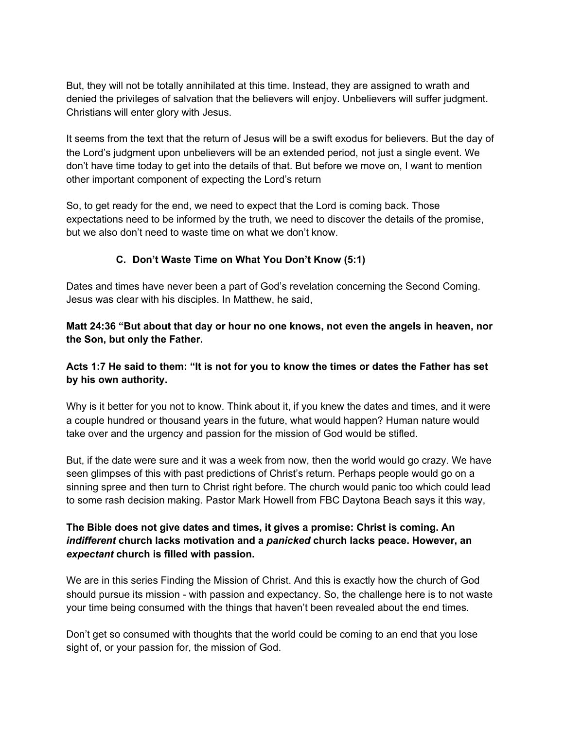But, they will not be totally annihilated at this time. Instead, they are assigned to wrath and denied the privileges of salvation that the believers will enjoy. Unbelievers will suffer judgment. Christians will enter glory with Jesus.

It seems from the text that the return of Jesus will be a swift exodus for believers. But the day of the Lord's judgment upon unbelievers will be an extended period, not just a single event. We don't have time today to get into the details of that. But before we move on, I want to mention other important component of expecting the Lord's return

So, to get ready for the end, we need to expect that the Lord is coming back. Those expectations need to be informed by the truth, we need to discover the details of the promise, but we also don't need to waste time on what we don't know.

#### **C. Don't Waste Time on What You Don't Know (5:1)**

Dates and times have never been a part of God's revelation concerning the Second Coming. Jesus was clear with his disciples. In Matthew, he said,

**Matt 24:36 "But about that day or hour no one knows, not even the angels in heaven, nor the Son, but only the Father.**

#### Acts 1:7 He said to them: "It is not for you to know the times or dates the Father has set **by his own authority.**

Why is it better for you not to know. Think about it, if you knew the dates and times, and it were a couple hundred or thousand years in the future, what would happen? Human nature would take over and the urgency and passion for the mission of God would be stifled.

But, if the date were sure and it was a week from now, then the world would go crazy. We have seen glimpses of this with past predictions of Christ's return. Perhaps people would go on a sinning spree and then turn to Christ right before. The church would panic too which could lead to some rash decision making. Pastor Mark Howell from FBC Daytona Beach says it this way,

#### **The Bible does not give dates and times, it gives a promise: Christ is coming. An** *indifferent* **church lacks motivation and a** *panicked* **church lacks peace. However, an** *expectant* **church is filled with passion.**

We are in this series Finding the Mission of Christ. And this is exactly how the church of God should pursue its mission - with passion and expectancy. So, the challenge here is to not waste your time being consumed with the things that haven't been revealed about the end times.

Don't get so consumed with thoughts that the world could be coming to an end that you lose sight of, or your passion for, the mission of God.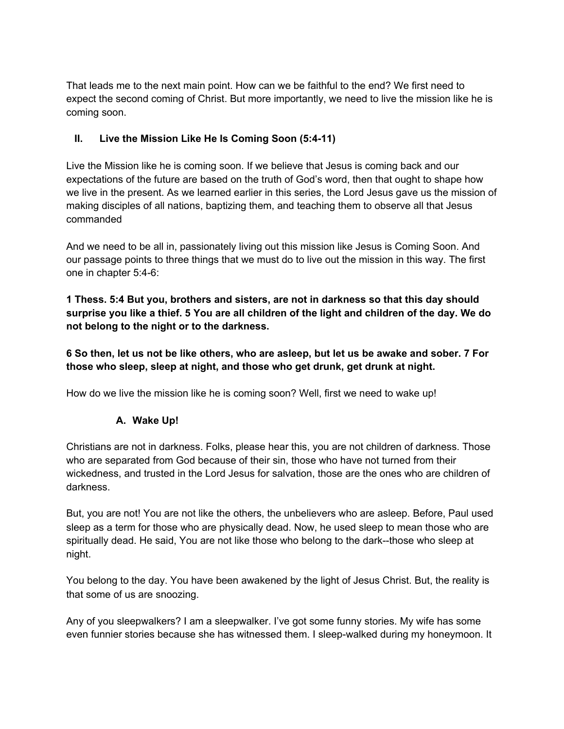That leads me to the next main point. How can we be faithful to the end? We first need to expect the second coming of Christ. But more importantly, we need to live the mission like he is coming soon.

### **II. Live the Mission Like He Is Coming Soon (5:4-11)**

Live the Mission like he is coming soon. If we believe that Jesus is coming back and our expectations of the future are based on the truth of God's word, then that ought to shape how we live in the present. As we learned earlier in this series, the Lord Jesus gave us the mission of making disciples of all nations, baptizing them, and teaching them to observe all that Jesus commanded

And we need to be all in, passionately living out this mission like Jesus is Coming Soon. And our passage points to three things that we must do to live out the mission in this way. The first one in chapter 5:4-6:

**1 Thess. 5:4 But you, brothers and sisters, are not in darkness so that this day should** surprise you like a thief. 5 You are all children of the light and children of the day. We do **not belong to the night or to the darkness.**

6 So then, let us not be like others, who are asleep, but let us be awake and sober. 7 For **those who sleep, sleep at night, and those who get drunk, get drunk at night.**

How do we live the mission like he is coming soon? Well, first we need to wake up!

#### **A. Wake Up!**

Christians are not in darkness. Folks, please hear this, you are not children of darkness. Those who are separated from God because of their sin, those who have not turned from their wickedness, and trusted in the Lord Jesus for salvation, those are the ones who are children of darkness.

But, you are not! You are not like the others, the unbelievers who are asleep. Before, Paul used sleep as a term for those who are physically dead. Now, he used sleep to mean those who are spiritually dead. He said, You are not like those who belong to the dark--those who sleep at night.

You belong to the day. You have been awakened by the light of Jesus Christ. But, the reality is that some of us are snoozing.

Any of you sleepwalkers? I am a sleepwalker. I've got some funny stories. My wife has some even funnier stories because she has witnessed them. I sleep-walked during my honeymoon. It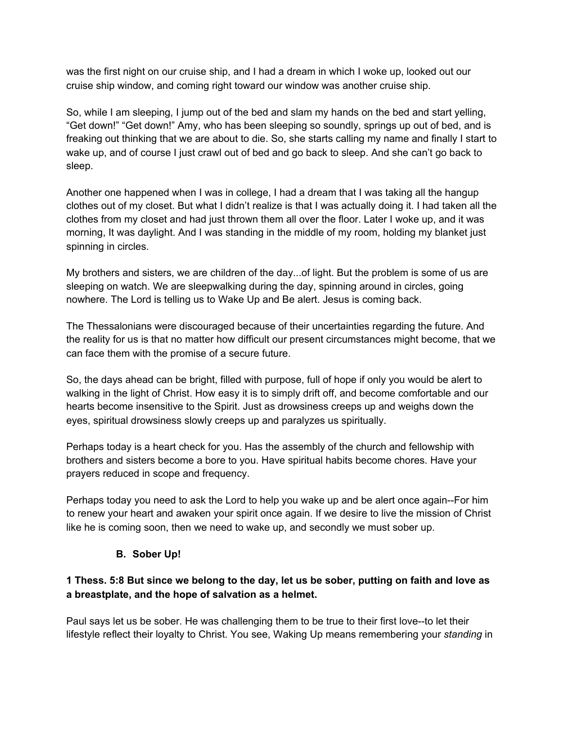was the first night on our cruise ship, and I had a dream in which I woke up, looked out our cruise ship window, and coming right toward our window was another cruise ship.

So, while I am sleeping, I jump out of the bed and slam my hands on the bed and start yelling, "Get down!" "Get down!" Amy, who has been sleeping so soundly, springs up out of bed, and is freaking out thinking that we are about to die. So, she starts calling my name and finally I start to wake up, and of course I just crawl out of bed and go back to sleep. And she can't go back to sleep.

Another one happened when I was in college, I had a dream that I was taking all the hangup clothes out of my closet. But what I didn't realize is that I was actually doing it. I had taken all the clothes from my closet and had just thrown them all over the floor. Later I woke up, and it was morning, It was daylight. And I was standing in the middle of my room, holding my blanket just spinning in circles.

My brothers and sisters, we are children of the day...of light. But the problem is some of us are sleeping on watch. We are sleepwalking during the day, spinning around in circles, going nowhere. The Lord is telling us to Wake Up and Be alert. Jesus is coming back.

The Thessalonians were discouraged because of their uncertainties regarding the future. And the reality for us is that no matter how difficult our present circumstances might become, that we can face them with the promise of a secure future.

So, the days ahead can be bright, filled with purpose, full of hope if only you would be alert to walking in the light of Christ. How easy it is to simply drift off, and become comfortable and our hearts become insensitive to the Spirit. Just as drowsiness creeps up and weighs down the eyes, spiritual drowsiness slowly creeps up and paralyzes us spiritually.

Perhaps today is a heart check for you. Has the assembly of the church and fellowship with brothers and sisters become a bore to you. Have spiritual habits become chores. Have your prayers reduced in scope and frequency.

Perhaps today you need to ask the Lord to help you wake up and be alert once again--For him to renew your heart and awaken your spirit once again. If we desire to live the mission of Christ like he is coming soon, then we need to wake up, and secondly we must sober up.

## **B. Sober Up!**

## 1 Thess. 5:8 But since we belong to the day, let us be sober, putting on faith and love as **a breastplate, and the hope of salvation as a helmet.**

Paul says let us be sober. He was challenging them to be true to their first love--to let their lifestyle reflect their loyalty to Christ. You see, Waking Up means remembering your *standing* in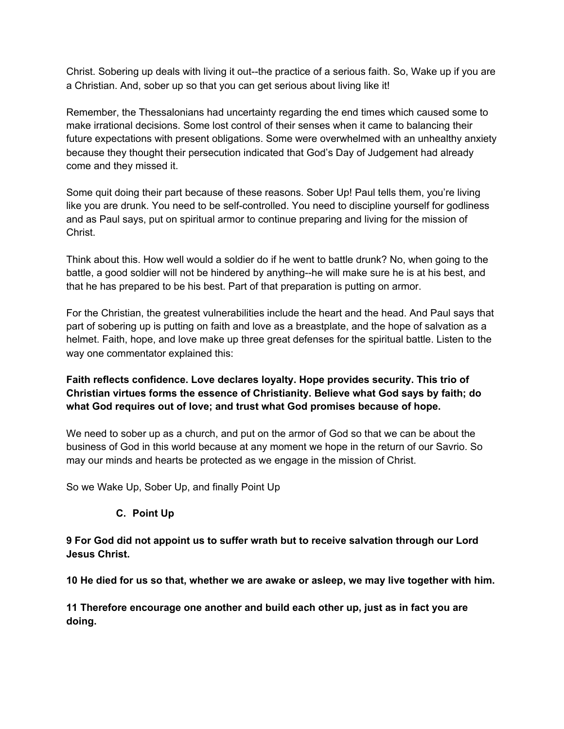Christ. Sobering up deals with living it out--the practice of a serious faith. So, Wake up if you are a Christian. And, sober up so that you can get serious about living like it!

Remember, the Thessalonians had uncertainty regarding the end times which caused some to make irrational decisions. Some lost control of their senses when it came to balancing their future expectations with present obligations. Some were overwhelmed with an unhealthy anxiety because they thought their persecution indicated that God's Day of Judgement had already come and they missed it.

Some quit doing their part because of these reasons. Sober Up! Paul tells them, you're living like you are drunk. You need to be self-controlled. You need to discipline yourself for godliness and as Paul says, put on spiritual armor to continue preparing and living for the mission of Christ.

Think about this. How well would a soldier do if he went to battle drunk? No, when going to the battle, a good soldier will not be hindered by anything--he will make sure he is at his best, and that he has prepared to be his best. Part of that preparation is putting on armor.

For the Christian, the greatest vulnerabilities include the heart and the head. And Paul says that part of sobering up is putting on faith and love as a breastplate, and the hope of salvation as a helmet. Faith, hope, and love make up three great defenses for the spiritual battle. Listen to the way one commentator explained this:

**Faith reflects confidence. Love declares loyalty. Hope provides security. This trio of Christian virtues forms the essence of Christianity. Believe what God says by faith; do what God requires out of love; and trust what God promises because of hope.**

We need to sober up as a church, and put on the armor of God so that we can be about the business of God in this world because at any moment we hope in the return of our Savrio. So may our minds and hearts be protected as we engage in the mission of Christ.

So we Wake Up, Sober Up, and finally Point Up

#### **C. Point Up**

**9 For God did not appoint us to suffer wrath but to receive salvation through our Lord Jesus Christ.**

**10 He died for us so that, whether we are awake or asleep, we may live together with him.**

**11 Therefore encourage one another and build each other up, just as in fact you are doing.**